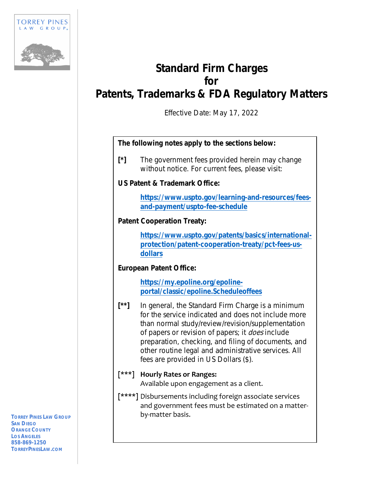

# **Standard Firm Charges for Patents, Trademarks & FDA Regulatory Matters**

Effective Date: May 17, 2022

### **The following notes apply to the sections below:**

**[\*]** The government fees provided herein may change without notice. For current fees, please visit:

### **US Patent & Trademark Office:**

**https://www.uspto.gov/learning-and-resources/feesand-payment/uspto-fee-schedule**

# **Patent Cooperation Treaty:**

**https://www.uspto.gov/patents/basics/internationalprotection/patent-cooperation-treaty/pct-fees-usdollars**

# **European Patent Office:**

**https://my.epoline.org/epolineportal/classic/epoline.Scheduleoffees**

**[\*\*]** In general, the Standard Firm Charge is a minimum for the service indicated and does not include more than normal study/review/revision/supplementation of papers or revision of papers; it *does* include preparation, checking, and filing of documents, and other routine legal and administrative services. All fees are provided in US Dollars (\$).

# **[\*\*\*] Hourly Rates or Ranges:** Available upon engagement as a client.

**[\*\*\*\*]** Disbursements including foreign associate services and government fees must be estimated on a matter‐ by‐matter basis.

**TORREY PINES LAW GROUP SAN DIEGO ORANGE COUNTY LOS ANGELES 858-869-1250 TORREYPINESLAW.COM**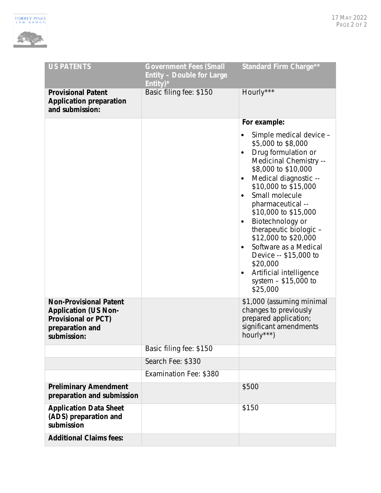

| <b>US PATENTS</b>                                                                                             | <b>Government Fees (Small</b><br><b>Entity - Double for Large</b><br>Entity) $*$ | <b>Standard Firm Charge**</b>                                                                                                                                                                                                                                                                                                                                                                                                                                             |
|---------------------------------------------------------------------------------------------------------------|----------------------------------------------------------------------------------|---------------------------------------------------------------------------------------------------------------------------------------------------------------------------------------------------------------------------------------------------------------------------------------------------------------------------------------------------------------------------------------------------------------------------------------------------------------------------|
| <b>Provisional Patent</b><br><b>Application preparation</b><br>and submission:                                | Basic filing fee: \$150                                                          | Hourly***                                                                                                                                                                                                                                                                                                                                                                                                                                                                 |
|                                                                                                               |                                                                                  | For example:                                                                                                                                                                                                                                                                                                                                                                                                                                                              |
|                                                                                                               |                                                                                  | Simple medical device -<br>\$5,000 to \$8,000<br>Drug formulation or<br>$\bullet$<br>Medicinal Chemistry --<br>\$8,000 to \$10,000<br>Medical diagnostic --<br>\$10,000 to \$15,000<br>Small molecule<br>pharmaceutical --<br>\$10,000 to \$15,000<br>Biotechnology or<br>$\bullet$<br>therapeutic biologic -<br>\$12,000 to \$20,000<br>Software as a Medical<br>Device -- \$15,000 to<br>\$20,000<br>Artificial intelligence<br>٠<br>system $-$ \$15,000 to<br>\$25,000 |
| <b>Non-Provisional Patent</b><br><b>Application (US Non-</b><br><b>Provisional or PCT)</b><br>preparation and |                                                                                  | \$1,000 (assuming minimal<br>changes to previously<br>prepared application;<br>significant amendments                                                                                                                                                                                                                                                                                                                                                                     |
| submission:                                                                                                   |                                                                                  | hourly***)                                                                                                                                                                                                                                                                                                                                                                                                                                                                |
|                                                                                                               | Basic filing fee: \$150                                                          |                                                                                                                                                                                                                                                                                                                                                                                                                                                                           |
|                                                                                                               | Search Fee: \$330                                                                |                                                                                                                                                                                                                                                                                                                                                                                                                                                                           |
|                                                                                                               | Examination Fee: \$380                                                           |                                                                                                                                                                                                                                                                                                                                                                                                                                                                           |
| <b>Preliminary Amendment</b><br>preparation and submission                                                    |                                                                                  | \$500                                                                                                                                                                                                                                                                                                                                                                                                                                                                     |
| <b>Application Data Sheet</b><br>(ADS) preparation and<br>submission                                          |                                                                                  | \$150                                                                                                                                                                                                                                                                                                                                                                                                                                                                     |
| <b>Additional Claims fees:</b>                                                                                |                                                                                  |                                                                                                                                                                                                                                                                                                                                                                                                                                                                           |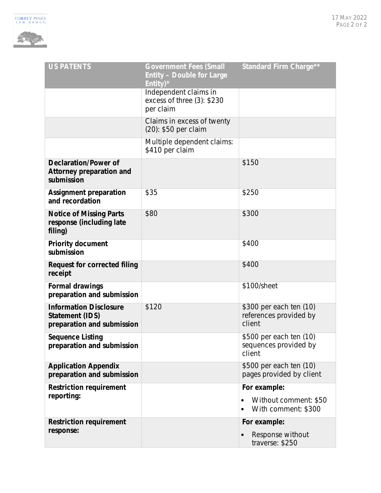

| <b>US PATENTS</b>                                                              | <b>Government Fees (Small</b><br><b>Entity - Double for Large</b><br>Entity) $*$ | <b>Standard Firm Charge**</b>                               |
|--------------------------------------------------------------------------------|----------------------------------------------------------------------------------|-------------------------------------------------------------|
|                                                                                | Independent claims in<br>excess of three (3): \$230<br>per claim                 |                                                             |
|                                                                                | Claims in excess of twenty<br>(20): \$50 per claim                               |                                                             |
|                                                                                | Multiple dependent claims:<br>\$410 per claim                                    |                                                             |
| <b>Declaration/Power of</b><br>Attorney preparation and<br>submission          |                                                                                  | \$150                                                       |
| <b>Assignment preparation</b><br>and recordation                               | \$35                                                                             | \$250                                                       |
| <b>Notice of Missing Parts</b><br>response (including late<br>filing)          | \$80                                                                             | \$300                                                       |
| <b>Priority document</b><br>submission                                         |                                                                                  | \$400                                                       |
| <b>Request for corrected filing</b><br>receipt                                 |                                                                                  | \$400                                                       |
| <b>Formal drawings</b><br>preparation and submission                           |                                                                                  | \$100/sheet                                                 |
| <b>Information Disclosure</b><br>Statement (IDS)<br>preparation and submission | \$120                                                                            | \$300 per each ten (10)<br>references provided by<br>client |
| <b>Sequence Listing</b><br>preparation and submission                          |                                                                                  | \$500 per each ten (10)<br>sequences provided by<br>client  |
| <b>Application Appendix</b><br>preparation and submission                      |                                                                                  | \$500 per each ten (10)<br>pages provided by client         |
| <b>Restriction requirement</b>                                                 |                                                                                  | For example:                                                |
| reporting:                                                                     |                                                                                  | Without comment: \$50<br>With comment: \$300<br>$\bullet$   |
| <b>Restriction requirement</b>                                                 |                                                                                  | For example:                                                |
| response:                                                                      |                                                                                  | Response without<br>$\bullet$<br>traverse: \$250            |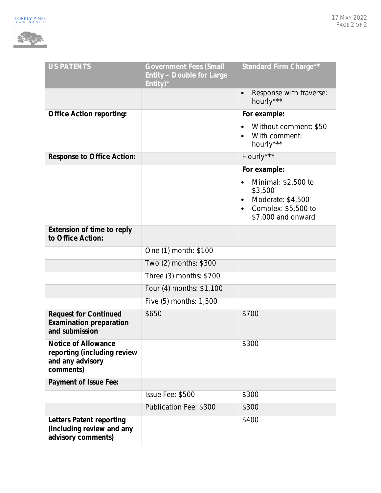

| <b>US PATENTS</b>                                                                          | <b>Government Fees (Small</b><br><b>Entity - Double for Large</b><br>Entity) $*$ | <b>Standard Firm Charge**</b>                                              |
|--------------------------------------------------------------------------------------------|----------------------------------------------------------------------------------|----------------------------------------------------------------------------|
|                                                                                            |                                                                                  | Response with traverse:<br>$\bullet$<br>hourly***                          |
| <b>Office Action reporting:</b>                                                            |                                                                                  | For example:                                                               |
|                                                                                            |                                                                                  | Without comment: \$50<br>With comment:<br>hourly***                        |
| <b>Response to Office Action:</b>                                                          |                                                                                  | Hourly***                                                                  |
|                                                                                            |                                                                                  | For example:                                                               |
|                                                                                            |                                                                                  | Minimal: \$2,500 to<br>\$3,500<br>Moderate: \$4,500<br>Complex: \$5,500 to |
|                                                                                            |                                                                                  | \$7,000 and onward                                                         |
| <b>Extension of time to reply</b><br>to Office Action:                                     |                                                                                  |                                                                            |
|                                                                                            | One (1) month: \$100                                                             |                                                                            |
|                                                                                            | Two (2) months: \$300                                                            |                                                                            |
|                                                                                            | Three (3) months: \$700                                                          |                                                                            |
|                                                                                            | Four (4) months: \$1,100                                                         |                                                                            |
|                                                                                            | Five (5) months: 1,500                                                           |                                                                            |
| <b>Request for Continued</b><br><b>Examination preparation</b><br>and submission           | \$650                                                                            | \$700                                                                      |
| <b>Notice of Allowance</b><br>reporting (including review<br>and any advisory<br>comments) |                                                                                  | \$300                                                                      |
| <b>Payment of Issue Fee:</b>                                                               |                                                                                  |                                                                            |
|                                                                                            | Issue Fee: \$500                                                                 | \$300                                                                      |
|                                                                                            | Publication Fee: \$300                                                           | \$300                                                                      |
| <b>Letters Patent reporting</b><br>(including review and any<br>advisory comments)         |                                                                                  | \$400                                                                      |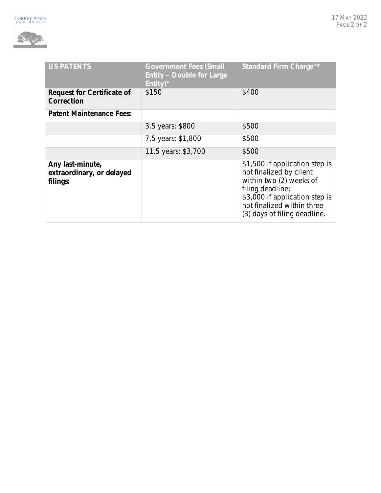

| <b>US PATENTS</b>                                         | <b>Government Fees (Small</b><br><b>Entity - Double for Large</b><br>Entity) $*$ | <b>Standard Firm Charge**</b>                                                                                                                                                                            |
|-----------------------------------------------------------|----------------------------------------------------------------------------------|----------------------------------------------------------------------------------------------------------------------------------------------------------------------------------------------------------|
| <b>Request for Certificate of</b><br>Correction           | \$150                                                                            | \$400                                                                                                                                                                                                    |
| <b>Patent Maintenance Fees:</b>                           |                                                                                  |                                                                                                                                                                                                          |
|                                                           | 3.5 years: \$800                                                                 | \$500                                                                                                                                                                                                    |
|                                                           | 7.5 years: \$1,800                                                               | \$500                                                                                                                                                                                                    |
|                                                           | 11.5 years: \$3,700                                                              | \$500                                                                                                                                                                                                    |
| Any last-minute,<br>extraordinary, or delayed<br>filings: |                                                                                  | \$1,500 if application step is<br>not finalized by client<br>within two (2) weeks of<br>filing deadline;<br>\$3,000 if application step is<br>not finalized within three<br>(3) days of filing deadline. |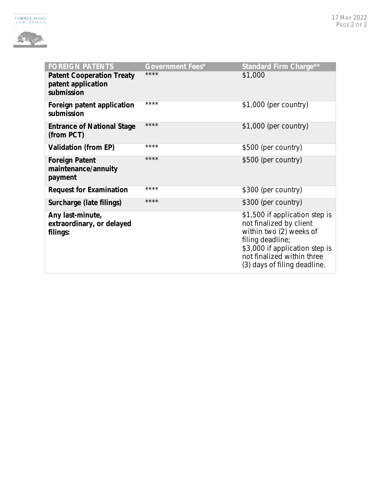

| <b>FOREIGN PATENTS</b>                                               | <b>Government Fees*</b> | <b>Standard Firm Charge**</b>                                                                                                                                                                            |
|----------------------------------------------------------------------|-------------------------|----------------------------------------------------------------------------------------------------------------------------------------------------------------------------------------------------------|
| <b>Patent Cooperation Treaty</b><br>patent application<br>submission | ****                    | \$1,000                                                                                                                                                                                                  |
| Foreign patent application<br>submission                             | ****                    | $$1,000$ (per country)                                                                                                                                                                                   |
| <b>Entrance of National Stage</b><br>(from PCT)                      | ****                    | \$1,000 (per country)                                                                                                                                                                                    |
| Validation (from EP)                                                 | ****                    | \$500 (per country)                                                                                                                                                                                      |
| <b>Foreign Patent</b><br>maintenance/annuity<br>payment              | ****                    | \$500 (per country)                                                                                                                                                                                      |
| <b>Request for Examination</b>                                       | ****                    | \$300 (per country)                                                                                                                                                                                      |
| Surcharge (late filings)                                             | ****                    | \$300 (per country)                                                                                                                                                                                      |
| Any last-minute,<br>extraordinary, or delayed<br>filings:            |                         | \$1,500 if application step is<br>not finalized by client<br>within two (2) weeks of<br>filing deadline;<br>\$3,000 if application step is<br>not finalized within three<br>(3) days of filing deadline. |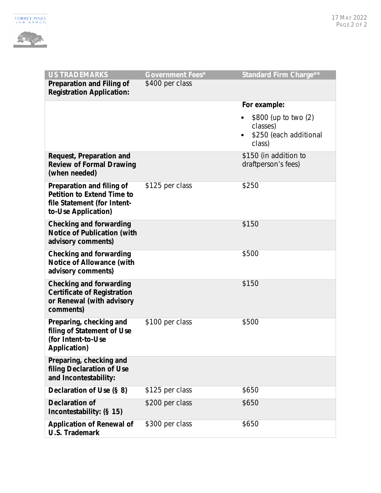

| <b>US TRADEMARKS</b>                                                                                                 | <b>Government Fees*</b> | Standard Firm Charge**                                               |
|----------------------------------------------------------------------------------------------------------------------|-------------------------|----------------------------------------------------------------------|
| Preparation and Filing of<br><b>Registration Application:</b>                                                        | \$400 per class         |                                                                      |
|                                                                                                                      |                         | For example:                                                         |
|                                                                                                                      |                         | \$800 (up to two (2)<br>classes)<br>\$250 (each additional<br>class) |
| Request, Preparation and<br><b>Review of Formal Drawing</b><br>(when needed)                                         |                         | \$150 (in addition to<br>draftperson's fees)                         |
| Preparation and filing of<br><b>Petition to Extend Time to</b><br>file Statement (for Intent-<br>to-Use Application) | \$125 per class         | \$250                                                                |
| <b>Checking and forwarding</b><br><b>Notice of Publication (with</b><br>advisory comments)                           |                         | \$150                                                                |
| Checking and forwarding<br><b>Notice of Allowance (with</b><br>advisory comments)                                    |                         | \$500                                                                |
| Checking and forwarding<br><b>Certificate of Registration</b><br>or Renewal (with advisory<br>comments)              |                         | \$150                                                                |
| Preparing, checking and<br>filing of Statement of Use<br>(for Intent-to-Use<br>Application)                          | \$100 per class         | \$500                                                                |
| Preparing, checking and<br>filing Declaration of Use<br>and Incontestability:                                        |                         |                                                                      |
| Declaration of Use (§ 8)                                                                                             | \$125 per class         | \$650                                                                |
| <b>Declaration of</b><br>Incontestability: (§ 15)                                                                    | \$200 per class         | \$650                                                                |
| <b>Application of Renewal of</b><br><b>U.S. Trademark</b>                                                            | \$300 per class         | \$650                                                                |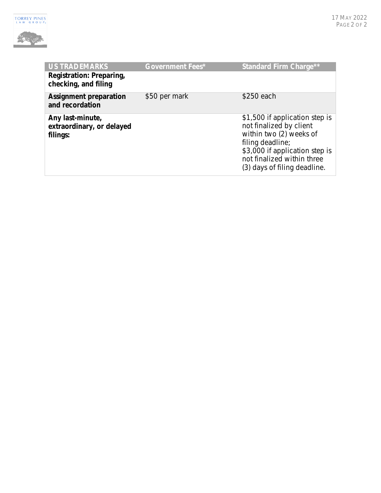

| <b>US TRADEMARKS</b>                                      | <b>Government Fees*</b> | <b>Standard Firm Charge**</b>                                                                                                                                                                            |
|-----------------------------------------------------------|-------------------------|----------------------------------------------------------------------------------------------------------------------------------------------------------------------------------------------------------|
| Registration: Preparing,<br>checking, and filing          |                         |                                                                                                                                                                                                          |
| <b>Assignment preparation</b><br>and recordation          | \$50 per mark           | \$250 each                                                                                                                                                                                               |
| Any last-minute,<br>extraordinary, or delayed<br>filings: |                         | \$1,500 if application step is<br>not finalized by client<br>within two (2) weeks of<br>filing deadline;<br>\$3,000 if application step is<br>not finalized within three<br>(3) days of filing deadline. |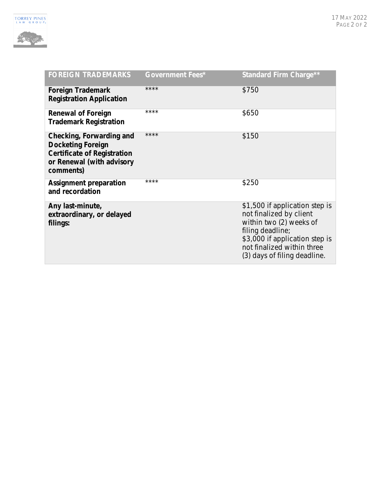

| <b>FOREIGN TRADEMARKS</b>                                                                                                            | <b>Government Fees*</b> | <b>Standard Firm Charge**</b>                                                                                                                                                                            |
|--------------------------------------------------------------------------------------------------------------------------------------|-------------------------|----------------------------------------------------------------------------------------------------------------------------------------------------------------------------------------------------------|
| <b>Foreign Trademark</b><br><b>Registration Application</b>                                                                          | ****                    | \$750                                                                                                                                                                                                    |
| <b>Renewal of Foreign</b><br><b>Trademark Registration</b>                                                                           | ****                    | \$650                                                                                                                                                                                                    |
| Checking, Forwarding and<br><b>Docketing Foreign</b><br><b>Certificate of Registration</b><br>or Renewal (with advisory<br>comments) | ****                    | \$150                                                                                                                                                                                                    |
| <b>Assignment preparation</b><br>and recordation                                                                                     | ****                    | \$250                                                                                                                                                                                                    |
| Any last-minute,<br>extraordinary, or delayed<br>filings:                                                                            |                         | \$1,500 if application step is<br>not finalized by client<br>within two (2) weeks of<br>filing deadline;<br>\$3,000 if application step is<br>not finalized within three<br>(3) days of filing deadline. |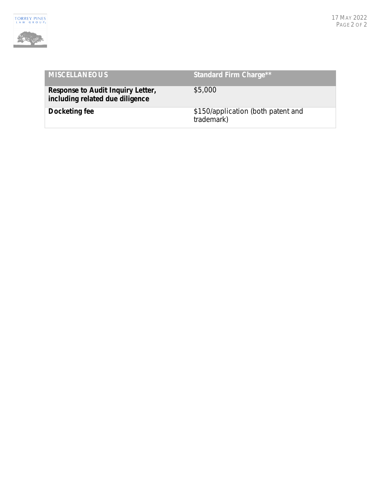

| <b>MISCELLANEOUS</b>                                                 | <b>Standard Firm Charge**</b>                    |
|----------------------------------------------------------------------|--------------------------------------------------|
| Response to Audit Inquiry Letter,<br>including related due diligence | \$5,000                                          |
| Docketing fee                                                        | \$150/application (both patent and<br>trademark) |